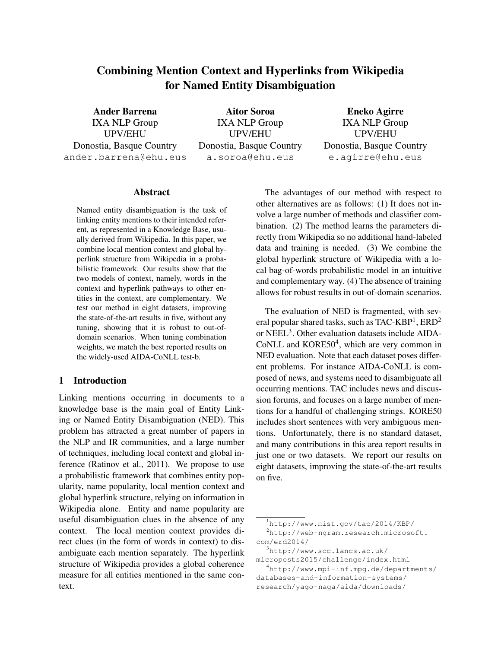# Combining Mention Context and Hyperlinks from Wikipedia for Named Entity Disambiguation

Ander Barrena IXA NLP Group UPV/EHU Donostia, Basque Country ander.barrena@ehu.eus

Aitor Soroa IXA NLP Group UPV/EHU Donostia, Basque Country a.soroa@ehu.eus

Eneko Agirre IXA NLP Group UPV/EHU Donostia, Basque Country e.agirre@ehu.eus

#### Abstract

Named entity disambiguation is the task of linking entity mentions to their intended referent, as represented in a Knowledge Base, usually derived from Wikipedia. In this paper, we combine local mention context and global hyperlink structure from Wikipedia in a probabilistic framework. Our results show that the two models of context, namely, words in the context and hyperlink pathways to other entities in the context, are complementary. We test our method in eight datasets, improving the state-of-the-art results in five, without any tuning, showing that it is robust to out-ofdomain scenarios. When tuning combination weights, we match the best reported results on the widely-used AIDA-CoNLL test-b.

# 1 Introduction

Linking mentions occurring in documents to a knowledge base is the main goal of Entity Linking or Named Entity Disambiguation (NED). This problem has attracted a great number of papers in the NLP and IR communities, and a large number of techniques, including local context and global inference (Ratinov et al., 2011). We propose to use a probabilistic framework that combines entity popularity, name popularity, local mention context and global hyperlink structure, relying on information in Wikipedia alone. Entity and name popularity are useful disambiguation clues in the absence of any context. The local mention context provides direct clues (in the form of words in context) to disambiguate each mention separately. The hyperlink structure of Wikipedia provides a global coherence measure for all entities mentioned in the same context.

The advantages of our method with respect to other alternatives are as follows: (1) It does not involve a large number of methods and classifier combination. (2) The method learns the parameters directly from Wikipedia so no additional hand-labeled data and training is needed. (3) We combine the global hyperlink structure of Wikipedia with a local bag-of-words probabilistic model in an intuitive and complementary way. (4) The absence of training allows for robust results in out-of-domain scenarios.

The evaluation of NED is fragmented, with several popular shared tasks, such as TAC-KBP $^{\rm l}$ , ERD $^{\rm 2}$ or NEEL<sup>3</sup>. Other evaluation datasets include AIDA-CoNLL and KORE50<sup>4</sup>, which are very common in NED evaluation. Note that each dataset poses different problems. For instance AIDA-CoNLL is composed of news, and systems need to disambiguate all occurring mentions. TAC includes news and discussion forums, and focuses on a large number of mentions for a handful of challenging strings. KORE50 includes short sentences with very ambiguous mentions. Unfortunately, there is no standard dataset, and many contributions in this area report results in just one or two datasets. We report our results on eight datasets, improving the state-of-the-art results on five.

<sup>1</sup>http://www.nist.gov/tac/2014/KBP/

 $^{2}$ http://web-ngram.research.microsoft. com/erd2014/

 $3$ http://www.scc.lancs.ac.uk/ microposts2015/challenge/index.html

<sup>4</sup>http://www.mpi-inf.mpg.de/departments/ databases-and-information-systems/ research/yago-naga/aida/downloads/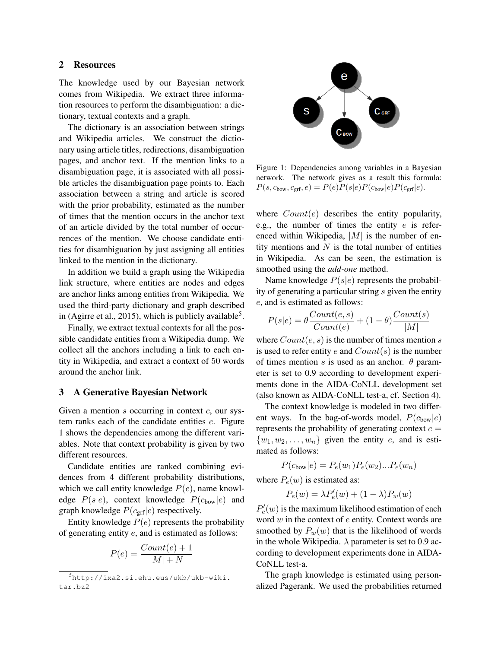#### 2 Resources

The knowledge used by our Bayesian network comes from Wikipedia. We extract three information resources to perform the disambiguation: a dictionary, textual contexts and a graph.

The dictionary is an association between strings and Wikipedia articles. We construct the dictionary using article titles, redirections, disambiguation pages, and anchor text. If the mention links to a disambiguation page, it is associated with all possible articles the disambiguation page points to. Each association between a string and article is scored with the prior probability, estimated as the number of times that the mention occurs in the anchor text of an article divided by the total number of occurrences of the mention. We choose candidate entities for disambiguation by just assigning all entities linked to the mention in the dictionary.

In addition we build a graph using the Wikipedia link structure, where entities are nodes and edges are anchor links among entities from Wikipedia. We used the third-party dictionary and graph described in (Agirre et al., 2015), which is publicly available<sup>5</sup>.

Finally, we extract textual contexts for all the possible candidate entities from a Wikipedia dump. We collect all the anchors including a link to each entity in Wikipedia, and extract a context of 50 words around the anchor link.

#### 3 A Generative Bayesian Network

Given a mention  $s$  occurring in context  $c$ , our system ranks each of the candidate entities e. Figure 1 shows the dependencies among the different variables. Note that context probability is given by two different resources.

Candidate entities are ranked combining evidences from 4 different probability distributions, which we call entity knowledge  $P(e)$ , name knowledge  $P(s|e)$ , context knowledge  $P(c_{bow}|e)$  and graph knowledge  $P(c_{\text{grf}}|e)$  respectively.

Entity knowledge  $P(e)$  represents the probability of generating entity e, and is estimated as follows:

$$
P(e) = \frac{Count(e) + 1}{|M| + N}
$$



Figure 1: Dependencies among variables in a Bayesian network. The network gives as a result this formula:  $P(s, c_{\text{bow}}, c_{\text{grf}}, e) = P(e)P(s|e)P(c_{\text{bow}}|e)P(c_{\text{grf}}|e).$ 

where  $Count(e)$  describes the entity popularity, e.g., the number of times the entity  $e$  is referenced within Wikipedia,  $|M|$  is the number of entity mentions and  $N$  is the total number of entities in Wikipedia. As can be seen, the estimation is smoothed using the *add-one* method.

Name knowledge  $P(s|e)$  represents the probability of generating a particular string s given the entity e, and is estimated as follows:

$$
P(s|e) = \theta \frac{Count(e, s)}{Count(e)} + (1 - \theta) \frac{Count(s)}{|M|}
$$

where  $Count(e, s)$  is the number of times mention s is used to refer entity e and  $Count(s)$  is the number of times mention s is used as an anchor.  $\theta$  parameter is set to 0.9 according to development experiments done in the AIDA-CoNLL development set (also known as AIDA-CoNLL test-a, cf. Section 4).

The context knowledge is modeled in two different ways. In the bag-of-words model,  $P(c_{\text{bow}}|e)$ represents the probability of generating context  $c =$  $\{w_1, w_2, \ldots, w_n\}$  given the entity e, and is estimated as follows:

$$
P(c_{\text{bow}}|e) = P_e(w_1)P_e(w_2)...P_e(w_n)
$$

where  $P_e(w)$  is estimated as:

$$
P_e(w) = \lambda P'_e(w) + (1 - \lambda) P_w(w)
$$

 $P'_e(w)$  is the maximum likelihood estimation of each word  $w$  in the context of  $e$  entity. Context words are smoothed by  $P_w(w)$  that is the likelihood of words in the whole Wikipedia.  $\lambda$  parameter is set to 0.9 according to development experiments done in AIDA-CoNLL test-a.

The graph knowledge is estimated using personalized Pagerank. We used the probabilities returned

<sup>5</sup>http://ixa2.si.ehu.eus/ukb/ukb-wiki. tar.bz2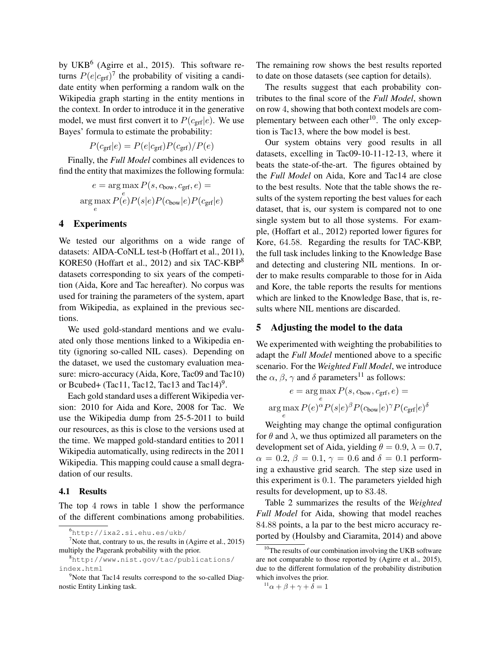by UKB<sup>6</sup> (Agirre et al., 2015). This software returns  $P(e|c_{\text{grf}})^7$  the probability of visiting a candidate entity when performing a random walk on the Wikipedia graph starting in the entity mentions in the context. In order to introduce it in the generative model, we must first convert it to  $P(c_{\text{grf}}|e)$ . We use Bayes' formula to estimate the probability:

$$
P(c_{\rm grf}|e) = P(e|c_{\rm grf}) P(c_{\rm grf})/P(e)
$$

Finally, the *Full Model* combines all evidences to find the entity that maximizes the following formula:

$$
e = \underset{e}{\arg\max} P(s, c_{\text{bow}}, c_{\text{grf}}, e) =
$$
  
arg
$$
\underset{e}{\arg\max} P(e)P(s|e)P(c_{\text{bow}}|e)P(c_{\text{grf}}|e)
$$

#### 4 Experiments

We tested our algorithms on a wide range of datasets: AIDA-CoNLL test-b (Hoffart et al., 2011), KORE50 (Hoffart et al., 2012) and six TAC-KBP<sup>8</sup> datasets corresponding to six years of the competition (Aida, Kore and Tac hereafter). No corpus was used for training the parameters of the system, apart from Wikipedia, as explained in the previous sections.

We used gold-standard mentions and we evaluated only those mentions linked to a Wikipedia entity (ignoring so-called NIL cases). Depending on the dataset, we used the customary evaluation measure: micro-accuracy (Aida, Kore, Tac09 and Tac10) or Bcubed+ (Tac11, Tac12, Tac13 and Tac14)<sup>9</sup>.

Each gold standard uses a different Wikipedia version: 2010 for Aida and Kore, 2008 for Tac. We use the Wikipedia dump from 25-5-2011 to build our resources, as this is close to the versions used at the time. We mapped gold-standard entities to 2011 Wikipedia automatically, using redirects in the 2011 Wikipedia. This mapping could cause a small degradation of our results.

#### 4.1 Results

The top 4 rows in table 1 show the performance of the different combinations among probabilities. The remaining row shows the best results reported to date on those datasets (see caption for details).

The results suggest that each probability contributes to the final score of the *Full Model*, shown on row 4, showing that both context models are complementary between each other<sup>10</sup>. The only exception is Tac13, where the bow model is best.

Our system obtains very good results in all datasets, excelling in Tac09-10-11-12-13, where it beats the state-of-the-art. The figures obtained by the *Full Model* on Aida, Kore and Tac14 are close to the best results. Note that the table shows the results of the system reporting the best values for each dataset, that is, our system is compared not to one single system but to all those systems. For example, (Hoffart et al., 2012) reported lower figures for Kore, 64.58. Regarding the results for TAC-KBP, the full task includes linking to the Knowledge Base and detecting and clustering NIL mentions. In order to make results comparable to those for in Aida and Kore, the table reports the results for mentions which are linked to the Knowledge Base, that is, results where NIL mentions are discarded.

## 5 Adjusting the model to the data

We experimented with weighting the probabilities to adapt the *Full Model* mentioned above to a specific scenario. For the *Weighted Full Model*, we introduce the  $\alpha$ ,  $\beta$ ,  $\gamma$  and  $\delta$  parameters<sup>11</sup> as follows:

$$
e = \underset{e}{\arg\max} P(s, c_{\text{bow}}, c_{\text{grf}}, e) =
$$

$$
\underset{e}{\arg\max} P(e)^{\alpha} P(s|e)^{\beta} P(c_{\text{bow}}|e)^{\gamma} P(c_{\text{grf}}|e)^{\delta}
$$

Weighting may change the optimal configuration for  $\theta$  and  $\lambda$ , we thus optimized all parameters on the development set of Aida, yielding  $\theta = 0.9$ ,  $\lambda = 0.7$ ,  $\alpha = 0.2$ ,  $\beta = 0.1$ ,  $\gamma = 0.6$  and  $\delta = 0.1$  performing a exhaustive grid search. The step size used in this experiment is 0.1. The parameters yielded high results for development, up to 83.48.

Table 2 summarizes the results of the *Weighted Full Model* for Aida, showing that model reaches 84.88 points, a la par to the best micro accuracy reported by (Houlsby and Ciaramita, 2014) and above

<sup>6</sup>http://ixa2.si.ehu.es/ukb/

<sup>&</sup>lt;sup>7</sup>Note that, contrary to us, the results in (Agirre et al., 2015) multiply the Pagerank probability with the prior.

<sup>8</sup>http://www.nist.gov/tac/publications/ index.html

<sup>&</sup>lt;sup>9</sup>Note that Tac14 results correspond to the so-called Diagnostic Entity Linking task.

<sup>&</sup>lt;sup>10</sup>The results of our combination involving the UKB software are not comparable to those reported by (Agirre et al., 2015), due to the different formulation of the probability distribution which involves the prior.

 $11\alpha + \beta + \gamma + \delta = 1$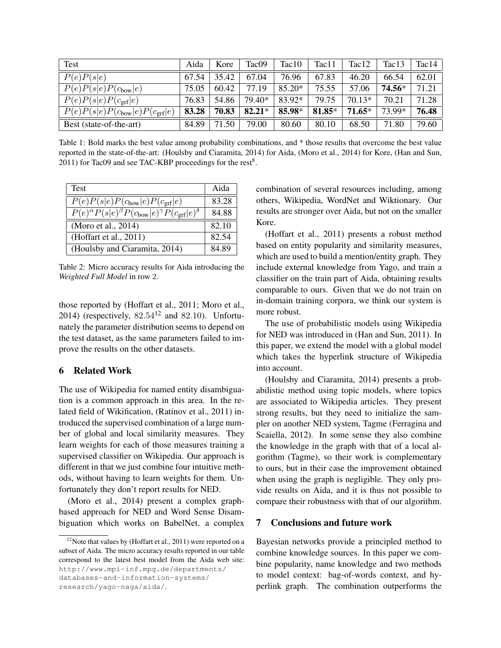| Test                                               | Aida  | Kore  | Tac09    | Tac10  | Tac11    | Tac12    | Tac13  | Tac14 |
|----------------------------------------------------|-------|-------|----------|--------|----------|----------|--------|-------|
| P(e)P(s e)                                         | 67.54 | 35.42 | 67.04    | 76.96  | 67.83    | 46.20    | 66.54  | 62.01 |
| $\overline{P(e)}P(s e)P(c_{\text{bow}} e)$         | 75.05 | 60.42 | 77.19    | 85.20* | 75.55    | 57.06    | 74.56* | 71.21 |
| $P(e)P(s e)P(c_{\text{grf}} e)$                    | 76.83 | 54.86 | 79.40*   | 83.92* | 79.75    | $70.13*$ | 70.21  | 71.28 |
| $P(e)P(s e)P(c_{\text{bow}} e)P(c_{\text{grf}} e)$ | 83.28 | 70.83 | $82.21*$ | 85.98* | $81.85*$ | $71.65*$ | 73.99* | 76.48 |
| Best (state-of-the-art)                            | 84.89 | 71.50 | 79.00    | 80.60  | 80.10    | 68.50    | 71.80  | 79.60 |

Table 1: Bold marks the best value among probability combinations, and \* those results that overcome the best value reported in the state-of-the-art: (Houlsby and Ciaramita, 2014) for Aida, (Moro et al., 2014) for Kore, (Han and Sun, 2011) for Tac09 and see TAC-KBP proceedings for the rest $8$ .

| <b>Test</b>                                                                                      | Aida  |
|--------------------------------------------------------------------------------------------------|-------|
| $P(e)P(s e)P(c_{\text{bow}} e)P(c_{\text{grf}} e)$                                               | 83.28 |
| $\overline{P(e)^{\alpha}P(s e)^{\beta}P(c_{\text{bow}} e)^{\gamma}P(c_{\text{grf}} e)^{\delta}}$ | 84.88 |
| (Moro et al., 2014)                                                                              | 82.10 |
| (Hoffart et al., 2011)                                                                           | 82.54 |
| (Houlsby and Ciaramita, 2014)                                                                    | 84.89 |

Table 2: Micro accuracy results for Aida introducing the *Weighted Full Model* in row 2.

those reported by (Hoffart et al., 2011; Moro et al., 2014) (respectively,  $82.54^{12}$  and  $82.10$ ). Unfortunately the parameter distribution seems to depend on the test dataset, as the same parameters failed to improve the results on the other datasets.

# 6 Related Work

The use of Wikipedia for named entity disambiguation is a common approach in this area. In the related field of Wikification, (Ratinov et al., 2011) introduced the supervised combination of a large number of global and local similarity measures. They learn weights for each of those measures training a supervised classifier on Wikipedia. Our approach is different in that we just combine four intuitive methods, without having to learn weights for them. Unfortunately they don't report results for NED.

(Moro et al., 2014) present a complex graphbased approach for NED and Word Sense Disambiguation which works on BabelNet, a complex combination of several resources including, among others, Wikipedia, WordNet and Wiktionary. Our results are stronger over Aida, but not on the smaller Kore.

(Hoffart et al., 2011) presents a robust method based on entity popularity and similarity measures, which are used to build a mention/entity graph. They include external knowledge from Yago, and train a classifier on the train part of Aida, obtaining results comparable to ours. Given that we do not train on in-domain training corpora, we think our system is more robust.

The use of probabilistic models using Wikipedia for NED was introduced in (Han and Sun, 2011). In this paper, we extend the model with a global model which takes the hyperlink structure of Wikipedia into account.

(Houlsby and Ciaramita, 2014) presents a probabilistic method using topic models, where topics are associated to Wikipedia articles. They present strong results, but they need to initialize the sampler on another NED system, Tagme (Ferragina and Scaiella, 2012). In some sense they also combine the knowledge in the graph with that of a local algorithm (Tagme), so their work is complementary to ours, but in their case the improvement obtained when using the graph is negligible. They only provide results on Aida, and it is thus not possible to compare their robustness with that of our algorithm.

## 7 Conclusions and future work

Bayesian networks provide a principled method to combine knowledge sources. In this paper we combine popularity, name knowledge and two methods to model context: bag-of-words context, and hyperlink graph. The combination outperforms the

 $12$ Note that values by (Hoffart et al., 2011) were reported on a subset of Aida. The micro accuracy results reported in our table correspond to the latest best model from the Aida web site: http://www.mpi-inf.mpg.de/departments/ databases-and-information-systems/ research/yago-naga/aida/.